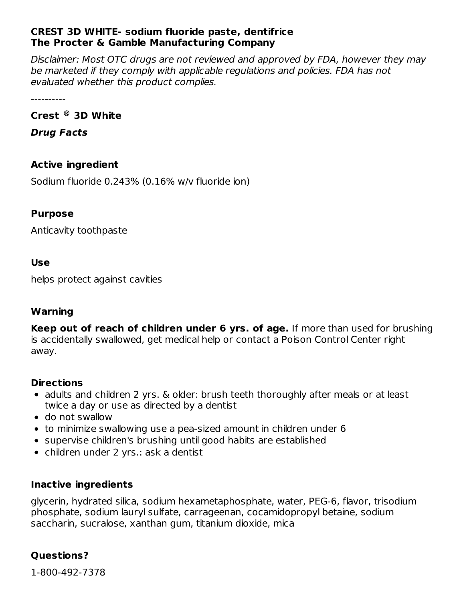## **CREST 3D WHITE- sodium fluoride paste, dentifrice The Procter & Gamble Manufacturing Company**

Disclaimer: Most OTC drugs are not reviewed and approved by FDA, however they may be marketed if they comply with applicable regulations and policies. FDA has not evaluated whether this product complies.

----------

# **Crest 3D White ®**

**Drug Facts**

# **Active ingredient**

Sodium fluoride 0.243% (0.16% w/v fluoride ion)

## **Purpose**

Anticavity toothpaste

#### **Use**

helps protect against cavities

## **Warning**

**Keep out of reach of children under 6 yrs. of age.** If more than used for brushing is accidentally swallowed, get medical help or contact a Poison Control Center right away.

## **Directions**

- adults and children 2 yrs. & older: brush teeth thoroughly after meals or at least twice a day or use as directed by a dentist
- do not swallow
- to minimize swallowing use a pea-sized amount in children under 6
- supervise children's brushing until good habits are established
- children under 2 yrs.: ask a dentist

## **Inactive ingredients**

glycerin, hydrated silica, sodium hexametaphosphate, water, PEG-6, flavor, trisodium phosphate, sodium lauryl sulfate, carrageenan, cocamidopropyl betaine, sodium saccharin, sucralose, xanthan gum, titanium dioxide, mica

# **Questions?**

1-800-492-7378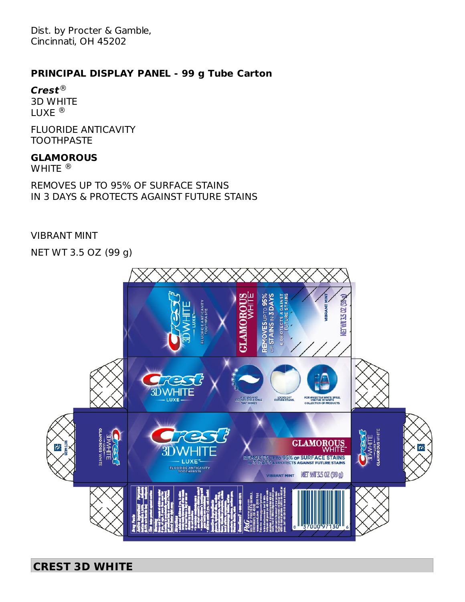Dist. by Procter & Gamble, Cincinnati, OH 45202

#### **PRINCIPAL DISPLAY PANEL - 99 g Tube Carton**

**Crest** ® 3D WHITE LUXE ®

FLUORIDE ANTICAVITY **TOOTHPASTE** 

#### **GLAMOROUS**

WHITE  $^{\circledR}$ 

REMOVES UP TO 95% OF SURFACE STAINS IN 3 DAYS & PROTECTS AGAINST FUTURE STAINS

#### VIBRANT MINT

NET WT 3.5 OZ (99 g)



# **CREST 3D WHITE**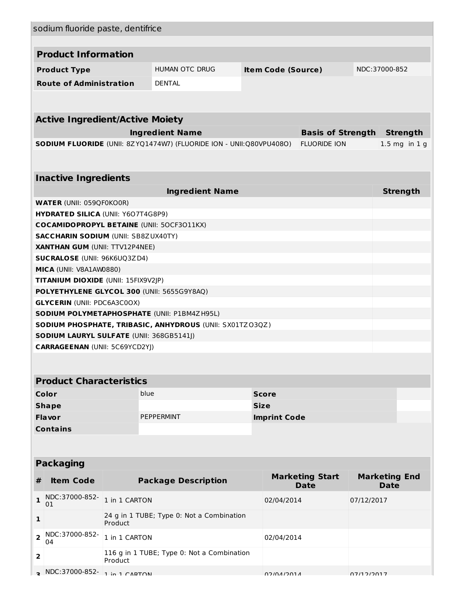| sodium fluoride paste, dentifrice                                                             |               |                                                                     |  |                                            |                                       |                    |                                     |  |  |  |  |
|-----------------------------------------------------------------------------------------------|---------------|---------------------------------------------------------------------|--|--------------------------------------------|---------------------------------------|--------------------|-------------------------------------|--|--|--|--|
|                                                                                               |               |                                                                     |  |                                            |                                       |                    |                                     |  |  |  |  |
| <b>Product Information</b>                                                                    |               |                                                                     |  |                                            |                                       |                    |                                     |  |  |  |  |
| <b>Product Type</b>                                                                           |               | <b>HUMAN OTC DRUG</b>                                               |  | <b>Item Code (Source)</b><br>NDC:37000-852 |                                       |                    |                                     |  |  |  |  |
| <b>Route of Administration</b>                                                                |               | <b>DENTAL</b>                                                       |  |                                            |                                       |                    |                                     |  |  |  |  |
|                                                                                               |               |                                                                     |  |                                            |                                       |                    |                                     |  |  |  |  |
|                                                                                               |               |                                                                     |  |                                            |                                       |                    |                                     |  |  |  |  |
| <b>Active Ingredient/Active Moiety</b>                                                        |               |                                                                     |  |                                            |                                       |                    |                                     |  |  |  |  |
| <b>Ingredient Name</b>                                                                        |               |                                                                     |  |                                            | <b>Basis of Strength</b>              |                    | <b>Strength</b>                     |  |  |  |  |
|                                                                                               |               | SODIUM FLUORIDE (UNII: 8ZYQ1474W7) (FLUORIDE ION - UNII:Q80VPU408O) |  |                                            | <b>FLUORIDE ION</b>                   |                    | $1.5$ mg in $1$ g                   |  |  |  |  |
|                                                                                               |               |                                                                     |  |                                            |                                       |                    |                                     |  |  |  |  |
|                                                                                               |               |                                                                     |  |                                            |                                       |                    |                                     |  |  |  |  |
| <b>Inactive Ingredients</b>                                                                   |               |                                                                     |  |                                            |                                       |                    |                                     |  |  |  |  |
| <b>WATER (UNII: 059QF0KO0R)</b>                                                               |               | <b>Ingredient Name</b>                                              |  |                                            |                                       |                    | <b>Strength</b>                     |  |  |  |  |
|                                                                                               |               |                                                                     |  |                                            |                                       |                    |                                     |  |  |  |  |
| <b>HYDRATED SILICA (UNII: Y6O7T4G8P9)</b><br><b>COCAMIDOPROPYL BETAINE (UNII: 50CF3011KX)</b> |               |                                                                     |  |                                            |                                       |                    |                                     |  |  |  |  |
| <b>SACCHARIN SODIUM (UNII: SB8ZUX40TY)</b>                                                    |               |                                                                     |  |                                            |                                       |                    |                                     |  |  |  |  |
| <b>XANTHAN GUM (UNII: TTV12P4NEE)</b>                                                         |               |                                                                     |  |                                            |                                       |                    |                                     |  |  |  |  |
| <b>SUCRALOSE (UNII: 96K6UQ3ZD4)</b>                                                           |               |                                                                     |  |                                            |                                       |                    |                                     |  |  |  |  |
| MICA (UNII: V8A1AW0880)                                                                       |               |                                                                     |  |                                            |                                       |                    |                                     |  |  |  |  |
| TITANIUM DIOXIDE (UNII: 15FIX9V2JP)                                                           |               |                                                                     |  |                                            |                                       |                    |                                     |  |  |  |  |
| POLYETHYLENE GLYCOL 300 (UNII: 5655G9Y8AQ)                                                    |               |                                                                     |  |                                            |                                       |                    |                                     |  |  |  |  |
| <b>GLYCERIN (UNII: PDC6A3C0OX)</b>                                                            |               |                                                                     |  |                                            |                                       |                    |                                     |  |  |  |  |
| SODIUM POLYMETAPHOSPHATE (UNII: P1BM4ZH95L)                                                   |               |                                                                     |  |                                            |                                       |                    |                                     |  |  |  |  |
| SODIUM PHOSPHATE, TRIBASIC, ANHYDROUS (UNII: SX01TZO3QZ)                                      |               |                                                                     |  |                                            |                                       |                    |                                     |  |  |  |  |
| SODIUM LAURYL SULFATE (UNII: 368GB5141J)                                                      |               |                                                                     |  |                                            |                                       |                    |                                     |  |  |  |  |
| <b>CARRAGEENAN (UNII: 5C69YCD2YJ)</b>                                                         |               |                                                                     |  |                                            |                                       |                    |                                     |  |  |  |  |
|                                                                                               |               |                                                                     |  |                                            |                                       |                    |                                     |  |  |  |  |
| <b>Product Characteristics</b>                                                                |               |                                                                     |  |                                            |                                       |                    |                                     |  |  |  |  |
| Color<br>blue<br><b>Score</b>                                                                 |               |                                                                     |  |                                            |                                       |                    |                                     |  |  |  |  |
| <b>Shape</b>                                                                                  |               |                                                                     |  | <b>Size</b>                                |                                       |                    |                                     |  |  |  |  |
| <b>Flavor</b>                                                                                 |               | <b>PEPPERMINT</b>                                                   |  | <b>Imprint Code</b>                        |                                       |                    |                                     |  |  |  |  |
| <b>Contains</b>                                                                               |               |                                                                     |  |                                            |                                       |                    |                                     |  |  |  |  |
|                                                                                               |               |                                                                     |  |                                            |                                       |                    |                                     |  |  |  |  |
|                                                                                               |               |                                                                     |  |                                            |                                       |                    |                                     |  |  |  |  |
| <b>Packaging</b>                                                                              |               |                                                                     |  |                                            |                                       |                    |                                     |  |  |  |  |
| <b>Item Code</b><br>#                                                                         |               | <b>Package Description</b>                                          |  |                                            | <b>Marketing Start</b><br><b>Date</b> |                    | <b>Marketing End</b><br><b>Date</b> |  |  |  |  |
| NDC:37000-852-<br>$\mathbf{1}$<br>01                                                          | 1 in 1 CARTON |                                                                     |  | 02/04/2014                                 |                                       | 07/12/2017         |                                     |  |  |  |  |
| 1                                                                                             | Product       | 24 g in 1 TUBE; Type 0: Not a Combination                           |  |                                            |                                       |                    |                                     |  |  |  |  |
| NDC:37000-852-<br>$\overline{\mathbf{2}}$<br>04                                               | 1 in 1 CARTON |                                                                     |  | 02/04/2014                                 |                                       |                    |                                     |  |  |  |  |
| 2                                                                                             | Product       | 116 g in 1 TUBE; Type 0: Not a Combination                          |  |                                            |                                       |                    |                                     |  |  |  |  |
| NDC:37000-852- 1 in 1 CAPTON                                                                  |               |                                                                     |  | A LOCIANICO                                |                                       | דוחר <i>ור</i> ודח |                                     |  |  |  |  |